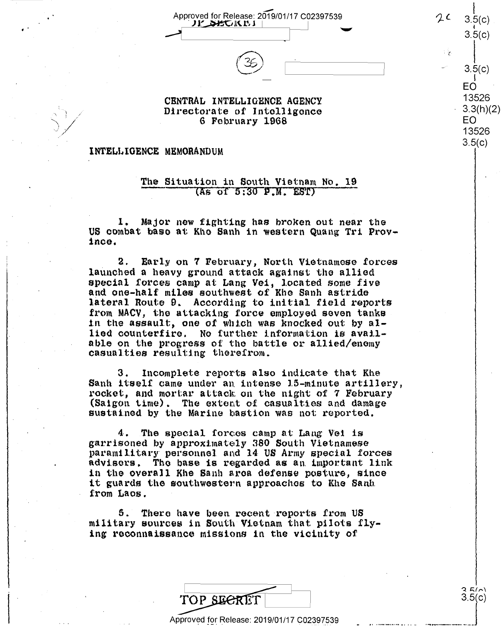Approved for Release: 2019/01/17 C02397539 **.JJ:'~Jl\.l<sup>1</sup> Approved for Release: 2019/01/17 C02397539 )<br>Contract ALISO DISPONSE DELTA DEL COLORES DE LA CONSTRUE DE LA COLORE DE LA COLORE DE LA COLORE DE LA COLORE D**  $\circled{35}$   $\qquad \qquad$   $\circ$   $\qquad \qquad$   $\circ$   $\qquad \qquad$   $\circ$   $\qquad \qquad$   $\circ$   $\qquad \qquad$   $\circ$   $\qquad \qquad$   $\circ$   $\qquad \qquad$   $\circ$   $\qquad \qquad$   $\circ$   $\qquad \qquad$   $\circ$   $\qquad \qquad$   $\circ$   $\qquad \qquad$   $\circ$   $\qquad \qquad$   $\circ$   $\qquad \qquad$   $\circ$   $\qquad \qquad$   $\circ$   $\qquad \qquad$   $\circ$ 

 $\sim$ 



### CENTRAL INTELLIGENCE AGENCY Directorate of lntolligonce G February 1968 Directorate of Intelligence 6 February 1968

## **lNTELl, I.O ENCE MEMORANDUM**  INTELLIGENCE MEMORANDUM

..

 $\bigvee$ 

#### The Situation in South Vietnam No. 19  $\frac{1}{100}$  in South Vietnam  $\frac{1}{100}$  (As of 5:30 P.M. EST) 'The Situation in South Vietnam No. 19  $(A<sub>5</sub>$  of  $5:30$  P.M. EST)

1. Major new fighting has broken out near the US combat base at Khe Sanh in western Quang Tri Province.

2. Early on 7 February, North Vietnamese forces . 2. Early on 7 February, North Vietnamese forces launched a heavy ground attack against the allied launched <sup>a</sup> heavy ground attack against the allied special forces camp at Lang Vei, located some five special forces camp at Lang Vei, located some five<br>and one-half miles southwest of Khe Sanh astride lateral Route 9. According to initial field reports lateral Route 9. According to initial field reports from MACV, the attacking force employed seven tanks in the assault, one of which was knocked out by allied counterfire, No further information is avall-lied counterfire. NO further information is available on the progress of the battle or allied/enemy casualties resulting therefrom. and one-half miles southwest of Rho Sanh astride casualties resulting therefrom.

3. Incomplete reports also indicate that Khe 3. Incomplete reports also indicate that Khe Sanh itself came under an intense 15-minute artillery, rocket, and mortar attack on the night of 7 February (Saigon time). The extent of casualties and damage<br>sustained by the Marine bastion was not reported. sustained by the Marine bastion was not reported.

4. The special forces camp at Lang Vei is garrisoned by approximately 380 South Vietnamese paramilitary personnel and 14 US Army special forces paraminically polisonnon and it of himy spoonan loroes in the overall Khe Sanh area defense posture, since in the overall Khe Sanh area defense posture, since in the overall ane sann arca delense posture, since<br>it guards the southwestern approaches to Khe Sanh from Laos.

5. There have been recent reports from US military sources in South Vietnam that pilots fly-military sources in South Vietnam that pilots flying reconnaissance missions in the vicinity of

|            |  | nce missions in the vicinity of           |  |
|------------|--|-------------------------------------------|--|
|            |  |                                           |  |
| TOP SECRET |  |                                           |  |
|            |  | pproved for Release: 2019/01/17 C02397539 |  |

Approved for Release: 2019/01/17 C02397539

 $2.5(n)$ 3.5(c)

. **. . . . . . . . . . . . . . . . .** . . . . . 1

 $\begin{matrix} \phantom{-} \\ 3.5(c) \end{matrix}$ I EO 13526  $3.3(h)(2)$ EO EO<br>13526 - 3.5(c)<br>EO<br>13526

 $\lfloor$ 

 $2^{\mathcal{L}}$  3.5(c) i 3.5(c) 3iflc)

1

 $3.5(c)$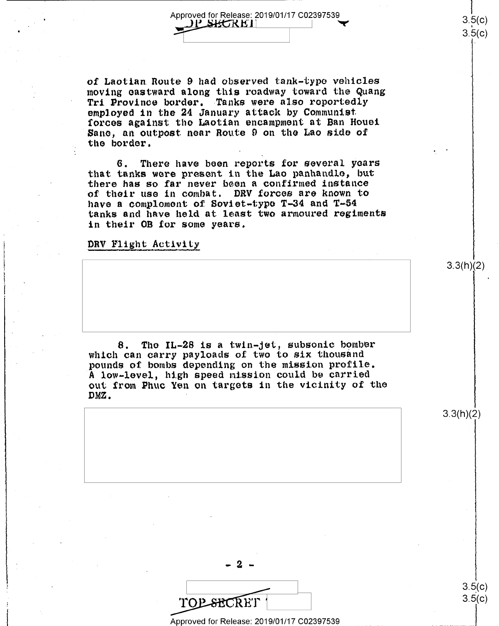of Laotian. Route 9 had observed tank-typo vehicles of Laotian.Route 9 had observed tank-type vehicles moving eastward along this roadway toward the Quang Tri Province border. Tanks were also reportedly employed in the 24 January attack by Communist. forces against tho Laotian encampment at Ban Houei forces against the Laotian encampment at Ban Houei Sano, an outpost near Route 9 on the Lao side of 'Sane, an outpost near Route <sup>9</sup> on the Lao side of the border.

6. There have been reports for several years that tanks were present in the Lao panhandle, but there has so far never been a confirmed instance of their use in combat. DRV forces are known to have a comploment of Soviet-type T-34 and T-54 tanks and have held at least two armoured regiments tanks and have held at least two armoured regiments in their OB for some years. in their 0B for some years.

## DRV Flight Activity

8. The IL-28 is a twin-jet, subsonic bomber which can carry payloads of two to six thousand numed can energy proposition on the mission profile. A low-level, high speed mission could be carried out from Phuc Yen on targets in the vicinity of the out from Phuc Yen on targets in the vicinity of the DMZ. DMZ. -

3.3(h)(2)

 $\overline{\phantom{a}}$ TOP SECRET

- 2 -

Approved for Release: 2019/01/17 C02397539 Approved for Release: 2019/01/17 002397539

 $3.5(c)$  $3.5(c)$ 

.. ·-···--···-···J

3.3(h)(2)

 $\vert$  $3.5(c)$  $3.5(c)$